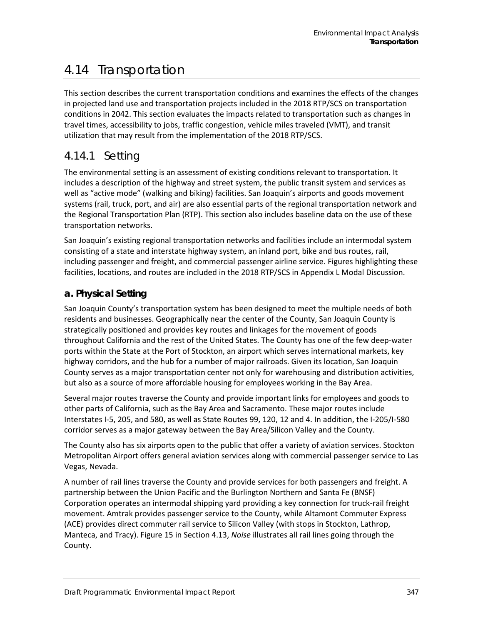# 4.14 Transportation

This section describes the current transportation conditions and examines the effects of the changes in projected land use and transportation projects included in the 2018 RTP/SCS on transportation conditions in 2042. This section evaluates the impacts related to transportation such as changes in travel times, accessibility to jobs, traffic congestion, vehicle miles traveled (VMT), and transit utilization that may result from the implementation of the 2018 RTP/SCS.

# 4.14.1 Setting

The environmental setting is an assessment of existing conditions relevant to transportation. It includes a description of the highway and street system, the public transit system and services as well as "active mode" (walking and biking) facilities. San Joaquin's airports and goods movement systems (rail, truck, port, and air) are also essential parts of the regional transportation network and the Regional Transportation Plan (RTP). This section also includes baseline data on the use of these transportation networks.

San Joaquin's existing regional transportation networks and facilities include an intermodal system consisting of a state and interstate highway system, an inland port, bike and bus routes, rail, including passenger and freight, and commercial passenger airline service. Figures highlighting these facilities, locations, and routes are included in the 2018 RTP/SCS in Appendix L Modal Discussion.

### **a. Physical Setting**

San Joaquin County's transportation system has been designed to meet the multiple needs of both residents and businesses. Geographically near the center of the County, San Joaquin County is strategically positioned and provides key routes and linkages for the movement of goods throughout California and the rest of the United States. The County has one of the few deep-water ports within the State at the Port of Stockton, an airport which serves international markets, key highway corridors, and the hub for a number of major railroads. Given its location, San Joaquin County serves as a major transportation center not only for warehousing and distribution activities, but also as a source of more affordable housing for employees working in the Bay Area.

Several major routes traverse the County and provide important links for employees and goods to other parts of California, such as the Bay Area and Sacramento. These major routes include Interstates I-5, 205, and 580, as well as State Routes 99, 120, 12 and 4. In addition, the I-205/I-580 corridor serves as a major gateway between the Bay Area/Silicon Valley and the County.

The County also has six airports open to the public that offer a variety of aviation services. Stockton Metropolitan Airport offers general aviation services along with commercial passenger service to Las Vegas, Nevada.

A number of rail lines traverse the County and provide services for both passengers and freight. A partnership between the Union Pacific and the Burlington Northern and Santa Fe (BNSF) Corporation operates an intermodal shipping yard providing a key connection for truck-rail freight movement. Amtrak provides passenger service to the County, while Altamont Commuter Express (ACE) provides direct commuter rail service to Silicon Valley (with stops in Stockton, Lathrop, Manteca, and Tracy). Figure 15 in Section 4.13, *Noise* illustrates all rail lines going through the County.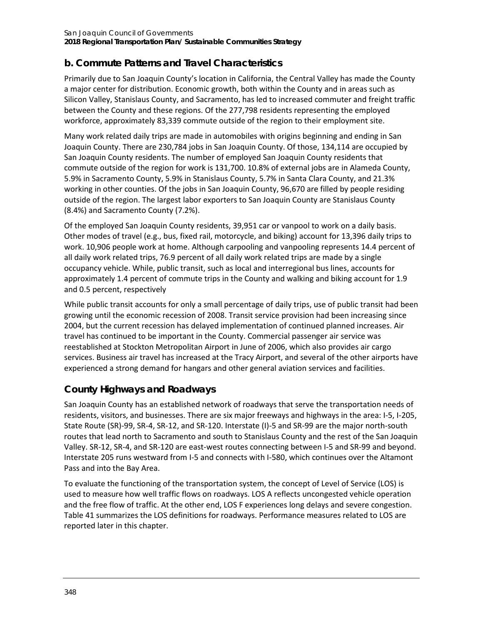### **b. Commute Patterns and Travel Characteristics**

Primarily due to San Joaquin County's location in California, the Central Valley has made the County a major center for distribution. Economic growth, both within the County and in areas such as Silicon Valley, Stanislaus County, and Sacramento, has led to increased commuter and freight traffic between the County and these regions. Of the 277,798 residents representing the employed workforce, approximately 83,339 commute outside of the region to their employment site.

Many work related daily trips are made in automobiles with origins beginning and ending in San Joaquin County. There are 230,784 jobs in San Joaquin County. Of those, 134,114 are occupied by San Joaquin County residents. The number of employed San Joaquin County residents that commute outside of the region for work is 131,700. 10.8% of external jobs are in Alameda County, 5.9% in Sacramento County, 5.9% in Stanislaus County, 5.7% in Santa Clara County, and 21.3% working in other counties. Of the jobs in San Joaquin County, 96,670 are filled by people residing outside of the region. The largest labor exporters to San Joaquin County are Stanislaus County (8.4%) and Sacramento County (7.2%).

Of the employed San Joaquin County residents, 39,951 car or vanpool to work on a daily basis. Other modes of travel (e.g., bus, fixed rail, motorcycle, and biking) account for 13,396 daily trips to work. 10,906 people work at home. Although carpooling and vanpooling represents 14.4 percent of all daily work related trips, 76.9 percent of all daily work related trips are made by a single occupancy vehicle. While, public transit, such as local and interregional bus lines, accounts for approximately 1.4 percent of commute trips in the County and walking and biking account for 1.9 and 0.5 percent, respectively

While public transit accounts for only a small percentage of daily trips, use of public transit had been growing until the economic recession of 2008. Transit service provision had been increasing since 2004, but the current recession has delayed implementation of continued planned increases. Air travel has continued to be important in the County. Commercial passenger air service was reestablished at Stockton Metropolitan Airport in June of 2006, which also provides air cargo services. Business air travel has increased at the Tracy Airport, and several of the other airports have experienced a strong demand for hangars and other general aviation services and facilities.

### **County Highways and Roadways**

San Joaquin County has an established network of roadways that serve the transportation needs of residents, visitors, and businesses. There are six major freeways and highways in the area: I-5, I-205, State Route (SR)-99, SR-4, SR-12, and SR-120. Interstate (I)-5 and SR-99 are the major north-south routes that lead north to Sacramento and south to Stanislaus County and the rest of the San Joaquin Valley. SR-12, SR-4, and SR-120 are east-west routes connecting between I-5 and SR-99 and beyond. Interstate 205 runs westward from I-5 and connects with I-580, which continues over the Altamont Pass and into the Bay Area.

To evaluate the functioning of the transportation system, the concept of Level of Service (LOS) is used to measure how well traffic flows on roadways. LOS A reflects uncongested vehicle operation and the free flow of traffic. At the other end, LOS F experiences long delays and severe congestion. [Table 41](#page-2-0) summarizes the LOS definitions for roadways. Performance measures related to LOS are reported later in this chapter.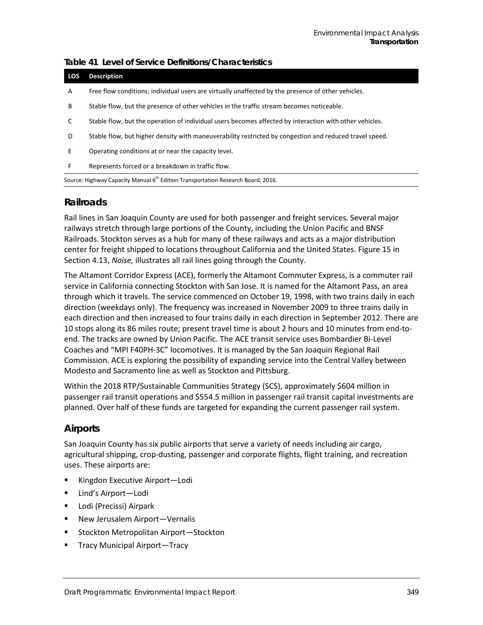| LOS | <b>Description</b>                                                                                      |
|-----|---------------------------------------------------------------------------------------------------------|
| A   | Free flow conditions; individual users are virtually unaffected by the presence of other vehicles.      |
| B   | Stable flow, but the presence of other vehicles in the traffic stream becomes noticeable.               |
| C   | Stable flow, but the operation of individual users becomes affected by interaction with other vehicles. |
| D   | Stable flow, but higher density with maneuverability restricted by congestion and reduced travel speed. |
| E.  | Operating conditions at or near the capacity level.                                                     |
| F   | Represents forced or a breakdown in traffic flow.                                                       |
|     | Source: Highway Capacity Manual 6 <sup>th</sup> Edition Transportation Research Board, 2016.            |

### <span id="page-2-0"></span>**Table 41 Level of Service Definitions/Characteristics**

#### **Railroads**

Rail lines in San Joaquin County are used for both passenger and freight services. Several major railways stretch through large portions of the County, including the Union Pacific and BNSF Railroads. Stockton serves as a hub for many of these railways and acts as a major distribution center for freight shipped to locations throughout California and the United States. Figure 15 in Section 4.13, *Noise,* illustrates all rail lines going through the County.

The Altamont Corridor Express (ACE), formerly the Altamont Commuter Express, is a commuter rail service in California connecting Stockton with San Jose. It is named for the Altamont Pass, an area through which it travels. The service commenced on October 19, 1998, with two trains daily in each direction (weekdays only). The frequency was increased in November 2009 to three trains daily in each direction and then increased to four trains daily in each direction in September 2012. There are 10 stops along its 86 miles route; present travel time is about 2 hours and 10 minutes from end-toend. The tracks are owned by Union Pacific. The ACE transit service uses Bombardier Bi-Level Coaches and "MPI F40PH-3C" locomotives. It is managed by the San Joaquin Regional Rail Commission. ACE is exploring the possibility of expanding service into the Central Valley between Modesto and Sacramento line as well as Stockton and Pittsburg.

Within the 2018 RTP/Sustainable Communities Strategy (SCS), approximately \$604 million in passenger rail transit operations and \$554.5 million in passenger rail transit capital investments are planned. Over half of these funds are targeted for expanding the current passenger rail system.

### **Airports**

San Joaquin County has six public airports that serve a variety of needs including air cargo, agricultural shipping, crop-dusting, passenger and corporate flights, flight training, and recreation uses. These airports are:

- Kingdon Executive Airport-Lodi
- Lind's Airport—Lodi
- **E** Lodi (Precissi) Airpark
- New Jerusalem Airport—Vernalis
- Stockton Metropolitan Airport-Stockton
- Tracy Municipal Airport—Tracy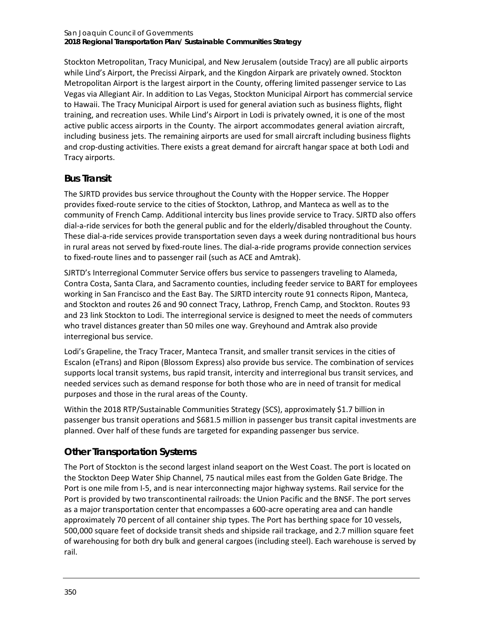Stockton Metropolitan, Tracy Municipal, and New Jerusalem (outside Tracy) are all public airports while Lind's Airport, the Precissi Airpark, and the Kingdon Airpark are privately owned. Stockton Metropolitan Airport is the largest airport in the County, offering limited passenger service to Las Vegas via Allegiant Air. In addition to Las Vegas, Stockton Municipal Airport has commercial service to Hawaii. The Tracy Municipal Airport is used for general aviation such as business flights, flight training, and recreation uses. While Lind's Airport in Lodi is privately owned, it is one of the most active public access airports in the County. The airport accommodates general aviation aircraft, including business jets. The remaining airports are used for small aircraft including business flights and crop-dusting activities. There exists a great demand for aircraft hangar space at both Lodi and Tracy airports.

### **Bus Transit**

The SJRTD provides bus service throughout the County with the Hopper service. The Hopper provides fixed-route service to the cities of Stockton, Lathrop, and Manteca as well as to the community of French Camp. Additional intercity bus lines provide service to Tracy. SJRTD also offers dial-a-ride services for both the general public and for the elderly/disabled throughout the County. These dial-a-ride services provide transportation seven days a week during nontraditional bus hours in rural areas not served by fixed-route lines. The dial-a-ride programs provide connection services to fixed-route lines and to passenger rail (such as ACE and Amtrak).

SJRTD's Interregional Commuter Service offers bus service to passengers traveling to Alameda, Contra Costa, Santa Clara, and Sacramento counties, including feeder service to BART for employees working in San Francisco and the East Bay. The SJRTD intercity route 91 connects Ripon, Manteca, and Stockton and routes 26 and 90 connect Tracy, Lathrop, French Camp, and Stockton. Routes 93 and 23 link Stockton to Lodi. The interregional service is designed to meet the needs of commuters who travel distances greater than 50 miles one way. Greyhound and Amtrak also provide interregional bus service.

Lodi's Grapeline, the Tracy Tracer, Manteca Transit, and smaller transit services in the cities of Escalon (eTrans) and Ripon (Blossom Express) also provide bus service. The combination of services supports local transit systems, bus rapid transit, intercity and interregional bus transit services, and needed services such as demand response for both those who are in need of transit for medical purposes and those in the rural areas of the County.

Within the 2018 RTP/Sustainable Communities Strategy (SCS), approximately \$1.7 billion in passenger bus transit operations and \$681.5 million in passenger bus transit capital investments are planned. Over half of these funds are targeted for expanding passenger bus service.

# **Other Transportation Systems**

The Port of Stockton is the second largest inland seaport on the West Coast. The port is located on the Stockton Deep Water Ship Channel, 75 nautical miles east from the Golden Gate Bridge. The Port is one mile from I-5, and is near interconnecting major highway systems. Rail service for the Port is provided by two transcontinental railroads: the Union Pacific and the BNSF. The port serves as a major transportation center that encompasses a 600-acre operating area and can handle approximately 70 percent of all container ship types. The Port has berthing space for 10 vessels, 500,000 square feet of dockside transit sheds and shipside rail trackage, and 2.7 million square feet of warehousing for both dry bulk and general cargoes (including steel). Each warehouse is served by rail.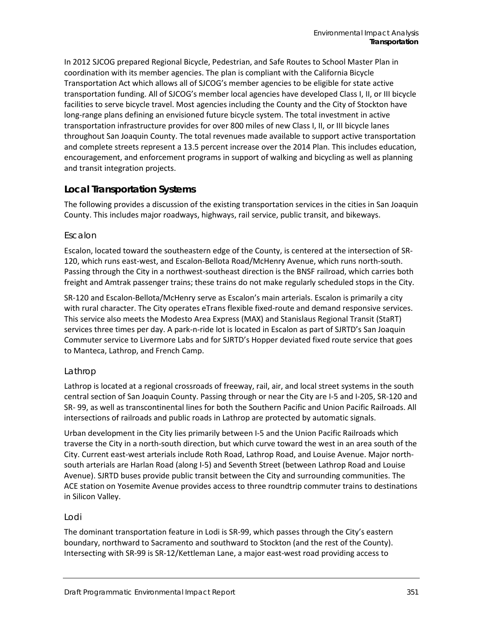In 2012 SJCOG prepared Regional Bicycle, Pedestrian, and Safe Routes to School Master Plan in coordination with its member agencies. The plan is compliant with the California Bicycle Transportation Act which allows all of SJCOG's member agencies to be eligible for state active transportation funding. All of SJCOG's member local agencies have developed Class I, II, or III bicycle facilities to serve bicycle travel. Most agencies including the County and the City of Stockton have long-range plans defining an envisioned future bicycle system. The total investment in active transportation infrastructure provides for over 800 miles of new Class I, II, or III bicycle lanes throughout San Joaquin County. The total revenues made available to support active transportation and complete streets represent a 13.5 percent increase over the 2014 Plan. This includes education, encouragement, and enforcement programs in support of walking and bicycling as well as planning and transit integration projects.

### **Local Transportation Systems**

The following provides a discussion of the existing transportation services in the cities in San Joaquin County. This includes major roadways, highways, rail service, public transit, and bikeways.

#### *Escalon*

Escalon, located toward the southeastern edge of the County, is centered at the intersection of SR-120, which runs east-west, and Escalon-Bellota Road/McHenry Avenue, which runs north-south. Passing through the City in a northwest-southeast direction is the BNSF railroad, which carries both freight and Amtrak passenger trains; these trains do not make regularly scheduled stops in the City.

SR-120 and Escalon-Bellota/McHenry serve as Escalon's main arterials. Escalon is primarily a city with rural character. The City operates eTrans flexible fixed-route and demand responsive services. This service also meets the Modesto Area Express (MAX) and Stanislaus Regional Transit (StaRT) services three times per day. A park-n-ride lot is located in Escalon as part of SJRTD's San Joaquin Commuter service to Livermore Labs and for SJRTD's Hopper deviated fixed route service that goes to Manteca, Lathrop, and French Camp.

#### *Lathrop*

Lathrop is located at a regional crossroads of freeway, rail, air, and local street systems in the south central section of San Joaquin County. Passing through or near the City are I-5 and I-205, SR-120 and SR- 99, as well as transcontinental lines for both the Southern Pacific and Union Pacific Railroads. All intersections of railroads and public roads in Lathrop are protected by automatic signals.

Urban development in the City lies primarily between I-5 and the Union Pacific Railroads which traverse the City in a north-south direction, but which curve toward the west in an area south of the City. Current east-west arterials include Roth Road, Lathrop Road, and Louise Avenue. Major northsouth arterials are Harlan Road (along I-5) and Seventh Street (between Lathrop Road and Louise Avenue). SJRTD buses provide public transit between the City and surrounding communities. The ACE station on Yosemite Avenue provides access to three roundtrip commuter trains to destinations in Silicon Valley.

#### *Lodi*

The dominant transportation feature in Lodi is SR-99, which passes through the City's eastern boundary, northward to Sacramento and southward to Stockton (and the rest of the County). Intersecting with SR-99 is SR-12/Kettleman Lane, a major east-west road providing access to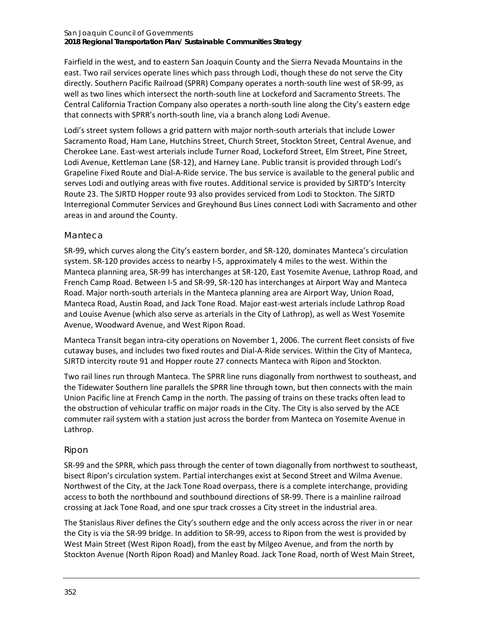#### San Joaquin Council of Governments **2018 Regional Transportation Plan/ Sustainable Communities Strategy**

Fairfield in the west, and to eastern San Joaquin County and the Sierra Nevada Mountains in the east. Two rail services operate lines which pass through Lodi, though these do not serve the City directly. Southern Pacific Railroad (SPRR) Company operates a north-south line west of SR-99, as well as two lines which intersect the north-south line at Lockeford and Sacramento Streets. The Central California Traction Company also operates a north-south line along the City's eastern edge that connects with SPRR's north-south line, via a branch along Lodi Avenue.

Lodi's street system follows a grid pattern with major north-south arterials that include Lower Sacramento Road, Ham Lane, Hutchins Street, Church Street, Stockton Street, Central Avenue, and Cherokee Lane. East-west arterials include Turner Road, Lockeford Street, Elm Street, Pine Street, Lodi Avenue, Kettleman Lane (SR-12), and Harney Lane. Public transit is provided through Lodi's Grapeline Fixed Route and Dial-A-Ride service. The bus service is available to the general public and serves Lodi and outlying areas with five routes. Additional service is provided by SJRTD's Intercity Route 23. The SJRTD Hopper route 93 also provides serviced from Lodi to Stockton. The SJRTD Interregional Commuter Services and Greyhound Bus Lines connect Lodi with Sacramento and other areas in and around the County.

#### *Manteca*

SR-99, which curves along the City's eastern border, and SR-120, dominates Manteca's circulation system. SR-120 provides access to nearby I-5, approximately 4 miles to the west. Within the Manteca planning area, SR-99 has interchanges at SR-120, East Yosemite Avenue, Lathrop Road, and French Camp Road. Between I-5 and SR-99, SR-120 has interchanges at Airport Way and Manteca Road. Major north-south arterials in the Manteca planning area are Airport Way, Union Road, Manteca Road, Austin Road, and Jack Tone Road. Major east-west arterials include Lathrop Road and Louise Avenue (which also serve as arterials in the City of Lathrop), as well as West Yosemite Avenue, Woodward Avenue, and West Ripon Road.

Manteca Transit began intra-city operations on November 1, 2006. The current fleet consists of five cutaway buses, and includes two fixed routes and Dial-A-Ride services. Within the City of Manteca, SJRTD intercity route 91 and Hopper route 27 connects Manteca with Ripon and Stockton.

Two rail lines run through Manteca. The SPRR line runs diagonally from northwest to southeast, and the Tidewater Southern line parallels the SPRR line through town, but then connects with the main Union Pacific line at French Camp in the north. The passing of trains on these tracks often lead to the obstruction of vehicular traffic on major roads in the City. The City is also served by the ACE commuter rail system with a station just across the border from Manteca on Yosemite Avenue in Lathrop.

#### *Ripon*

SR-99 and the SPRR, which pass through the center of town diagonally from northwest to southeast, bisect Ripon's circulation system. Partial interchanges exist at Second Street and Wilma Avenue. Northwest of the City, at the Jack Tone Road overpass, there is a complete interchange, providing access to both the northbound and southbound directions of SR-99. There is a mainline railroad crossing at Jack Tone Road, and one spur track crosses a City street in the industrial area.

The Stanislaus River defines the City's southern edge and the only access across the river in or near the City is via the SR-99 bridge. In addition to SR-99, access to Ripon from the west is provided by West Main Street (West Ripon Road), from the east by Milgeo Avenue, and from the north by Stockton Avenue (North Ripon Road) and Manley Road. Jack Tone Road, north of West Main Street,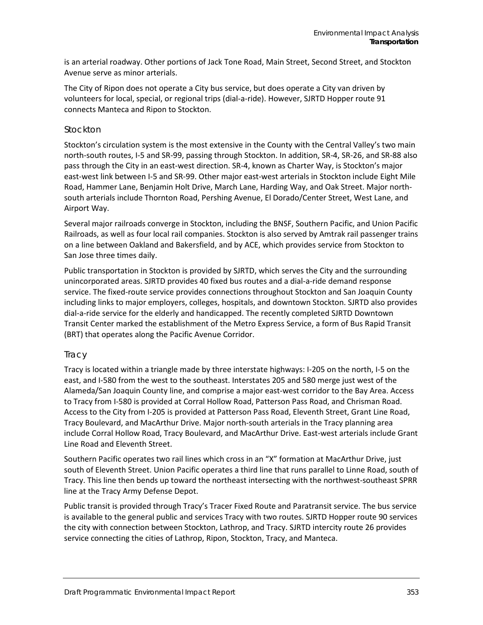is an arterial roadway. Other portions of Jack Tone Road, Main Street, Second Street, and Stockton Avenue serve as minor arterials.

The City of Ripon does not operate a City bus service, but does operate a City van driven by volunteers for local, special, or regional trips (dial-a-ride). However, SJRTD Hopper route 91 connects Manteca and Ripon to Stockton.

#### *Stockton*

Stockton's circulation system is the most extensive in the County with the Central Valley's two main north-south routes, I-5 and SR-99, passing through Stockton. In addition, SR-4, SR-26, and SR-88 also pass through the City in an east-west direction. SR-4, known as Charter Way, is Stockton's major east-west link between I-5 and SR-99. Other major east-west arterials in Stockton include Eight Mile Road, Hammer Lane, Benjamin Holt Drive, March Lane, Harding Way, and Oak Street. Major northsouth arterials include Thornton Road, Pershing Avenue, El Dorado/Center Street, West Lane, and Airport Way.

Several major railroads converge in Stockton, including the BNSF, Southern Pacific, and Union Pacific Railroads, as well as four local rail companies. Stockton is also served by Amtrak rail passenger trains on a line between Oakland and Bakersfield, and by ACE, which provides service from Stockton to San Jose three times daily.

Public transportation in Stockton is provided by SJRTD, which serves the City and the surrounding unincorporated areas. SJRTD provides 40 fixed bus routes and a dial-a-ride demand response service. The fixed-route service provides connections throughout Stockton and San Joaquin County including links to major employers, colleges, hospitals, and downtown Stockton. SJRTD also provides dial-a-ride service for the elderly and handicapped. The recently completed SJRTD Downtown Transit Center marked the establishment of the Metro Express Service, a form of Bus Rapid Transit (BRT) that operates along the Pacific Avenue Corridor.

#### *Tracy*

Tracy is located within a triangle made by three interstate highways: I-205 on the north, I-5 on the east, and I-580 from the west to the southeast. Interstates 205 and 580 merge just west of the Alameda/San Joaquin County line, and comprise a major east-west corridor to the Bay Area. Access to Tracy from I-580 is provided at Corral Hollow Road, Patterson Pass Road, and Chrisman Road. Access to the City from I-205 is provided at Patterson Pass Road, Eleventh Street, Grant Line Road, Tracy Boulevard, and MacArthur Drive. Major north-south arterials in the Tracy planning area include Corral Hollow Road, Tracy Boulevard, and MacArthur Drive. East-west arterials include Grant Line Road and Eleventh Street.

Southern Pacific operates two rail lines which cross in an "X" formation at MacArthur Drive, just south of Eleventh Street. Union Pacific operates a third line that runs parallel to Linne Road, south of Tracy. This line then bends up toward the northeast intersecting with the northwest-southeast SPRR line at the Tracy Army Defense Depot.

Public transit is provided through Tracy's Tracer Fixed Route and Paratransit service. The bus service is available to the general public and services Tracy with two routes. SJRTD Hopper route 90 services the city with connection between Stockton, Lathrop, and Tracy. SJRTD intercity route 26 provides service connecting the cities of Lathrop, Ripon, Stockton, Tracy, and Manteca.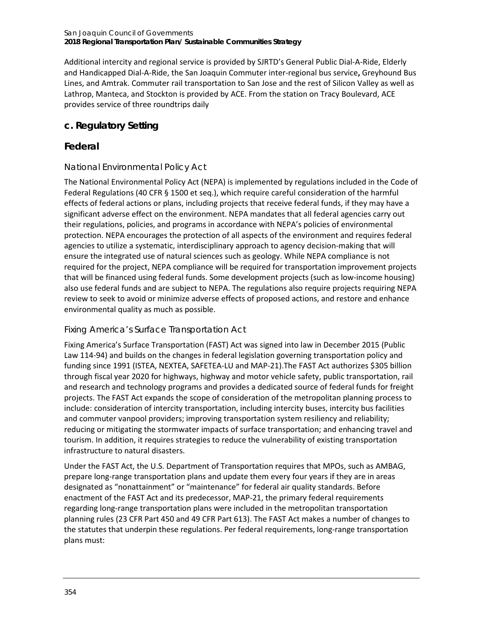#### San Joaquin Council of Governments **2018 Regional Transportation Plan/ Sustainable Communities Strategy**

Additional intercity and regional service is provided by SJRTD's General Public Dial-A-Ride, Elderly and Handicapped Dial-A-Ride, the San Joaquin Commuter inter-regional bus service**,** Greyhound Bus Lines, and Amtrak. Commuter rail transportation to San Jose and the rest of Silicon Valley as well as Lathrop, Manteca, and Stockton is provided by ACE. From the station on Tracy Boulevard, ACE provides service of three roundtrips daily

### **c. Regulatory Setting**

### **Federal**

### *National Environmental Policy Act*

The National Environmental Policy Act (NEPA) is implemented by regulations included in the Code of Federal Regulations (40 CFR § 1500 et seq.), which require careful consideration of the harmful effects of federal actions or plans, including projects that receive federal funds, if they may have a significant adverse effect on the environment. NEPA mandates that all federal agencies carry out their regulations, policies, and programs in accordance with NEPA's policies of environmental protection. NEPA encourages the protection of all aspects of the environment and requires federal agencies to utilize a systematic, interdisciplinary approach to agency decision-making that will ensure the integrated use of natural sciences such as geology. While NEPA compliance is not required for the project, NEPA compliance will be required for transportation improvement projects that will be financed using federal funds. Some development projects (such as low-income housing) also use federal funds and are subject to NEPA. The regulations also require projects requiring NEPA review to seek to avoid or minimize adverse effects of proposed actions, and restore and enhance environmental quality as much as possible.

### *Fixing America's Surface Transportation Act*

Fixing America's Surface Transportation (FAST) Act was signed into law in December 2015 (Public Law 114-94) and builds on the changes in federal legislation governing transportation policy and funding since 1991 (ISTEA, NEXTEA, SAFETEA-LU and MAP-21).The FAST Act authorizes \$305 billion through fiscal year 2020 for highways, highway and motor vehicle safety, public transportation, rail and research and technology programs and provides a dedicated source of federal funds for freight projects. The FAST Act expands the scope of consideration of the metropolitan planning process to include: consideration of intercity transportation, including intercity buses, intercity bus facilities and commuter vanpool providers; improving transportation system resiliency and reliability; reducing or mitigating the stormwater impacts of surface transportation; and enhancing travel and tourism. In addition, it requires strategies to reduce the vulnerability of existing transportation infrastructure to natural disasters.

Under the FAST Act, the U.S. Department of Transportation requires that MPOs, such as AMBAG, prepare long-range transportation plans and update them every four years if they are in areas designated as "nonattainment" or "maintenance" for federal air quality standards. Before enactment of the FAST Act and its predecessor, MAP-21, the primary federal requirements regarding long-range transportation plans were included in the metropolitan transportation planning rules (23 CFR Part 450 and 49 CFR Part 613). The FAST Act makes a number of changes to the statutes that underpin these regulations. Per federal requirements, long-range transportation plans must: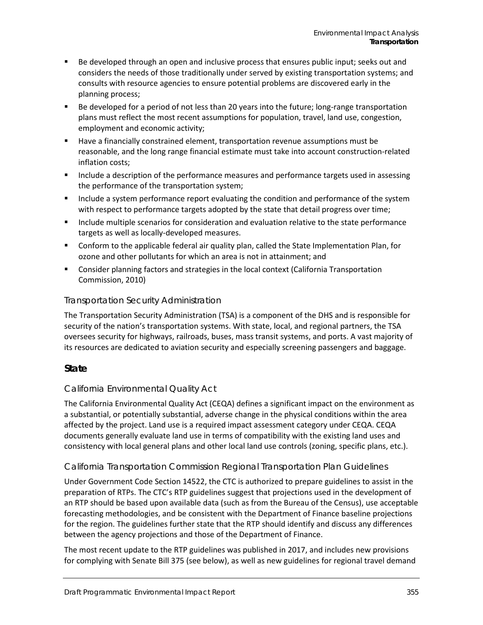- **Be developed through an open and inclusive process that ensures public input; seeks out and in that inclusive** considers the needs of those traditionally under served by existing transportation systems; and consults with resource agencies to ensure potential problems are discovered early in the planning process;
- Be developed for a period of not less than 20 years into the future; long-range transportation plans must reflect the most recent assumptions for population, travel, land use, congestion, employment and economic activity;
- Have a financially constrained element, transportation revenue assumptions must be reasonable, and the long range financial estimate must take into account construction-related inflation costs;
- Include a description of the performance measures and performance targets used in assessing the performance of the transportation system;
- Include a system performance report evaluating the condition and performance of the system with respect to performance targets adopted by the state that detail progress over time;
- **Include multiple scenarios for consideration and evaluation relative to the state performance** targets as well as locally-developed measures.
- Conform to the applicable federal air quality plan, called the State Implementation Plan, for ozone and other pollutants for which an area is not in attainment; and
- Consider planning factors and strategies in the local context (California Transportation Commission, 2010)

#### *Transportation Security Administration*

The Transportation Security Administration (TSA) is a component of the DHS and is responsible for security of the nation's transportation systems. With state, local, and regional partners, the TSA oversees security for highways, railroads, buses, mass transit systems, and ports. A vast majority of its resources are dedicated to aviation security and especially screening passengers and baggage.

### **State**

### *California Environmental Quality Act*

The California Environmental Quality Act (CEQA) defines a significant impact on the environment as a substantial, or potentially substantial, adverse change in the physical conditions within the area affected by the project. Land use is a required impact assessment category under CEQA. CEQA documents generally evaluate land use in terms of compatibility with the existing land uses and consistency with local general plans and other local land use controls (zoning, specific plans, etc.).

### *California Transportation Commission Regional Transportation Plan Guidelines*

Under Government Code Section 14522, the CTC is authorized to prepare guidelines to assist in the preparation of RTPs. The CTC's RTP guidelines suggest that projections used in the development of an RTP should be based upon available data (such as from the Bureau of the Census), use acceptable forecasting methodologies, and be consistent with the Department of Finance baseline projections for the region. The guidelines further state that the RTP should identify and discuss any differences between the agency projections and those of the Department of Finance.

The most recent update to the RTP guidelines was published in 2017, and includes new provisions for complying with Senate Bill 375 (see below), as well as new guidelines for regional travel demand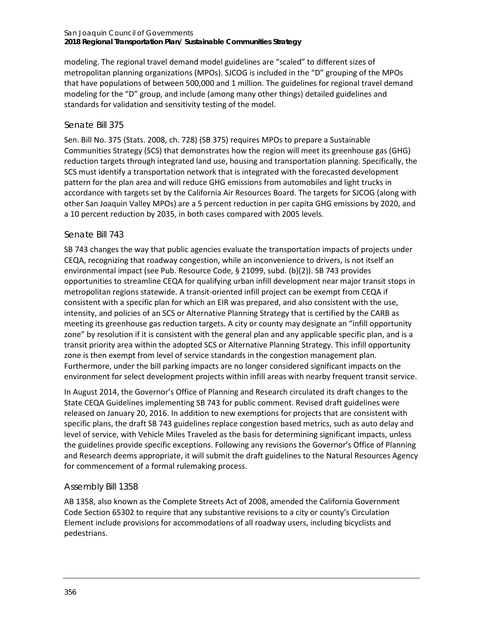#### San Joaquin Council of Governments **2018 Regional Transportation Plan/ Sustainable Communities Strategy**

modeling. The regional travel demand model guidelines are "scaled" to different sizes of metropolitan planning organizations (MPOs). SJCOG is included in the "D" grouping of the MPOs that have populations of between 500,000 and 1 million. The guidelines for regional travel demand modeling for the "D" group, and include (among many other things) detailed guidelines and standards for validation and sensitivity testing of the model.

#### *Senate Bill 375*

Sen. Bill No. 375 (Stats. 2008, ch. 728) (SB 375) requires MPOs to prepare a Sustainable Communities Strategy (SCS) that demonstrates how the region will meet its greenhouse gas (GHG) reduction targets through integrated land use, housing and transportation planning. Specifically, the SCS must identify a transportation network that is integrated with the forecasted development pattern for the plan area and will reduce GHG emissions from automobiles and light trucks in accordance with targets set by the California Air Resources Board. The targets for SJCOG (along with other San Joaquin Valley MPOs) are a 5 percent reduction in per capita GHG emissions by 2020, and a 10 percent reduction by 2035, in both cases compared with 2005 levels.

#### *Senate Bill 743*

SB 743 changes the way that public agencies evaluate the transportation impacts of projects under CEQA, recognizing that roadway congestion, while an inconvenience to drivers, is not itself an environmental impact (see Pub. Resource Code, § 21099, subd. (b)(2)). SB 743 provides opportunities to streamline CEQA for qualifying urban infill development near major transit stops in metropolitan regions statewide. A transit-oriented infill project can be exempt from CEQA if consistent with a specific plan for which an EIR was prepared, and also consistent with the use, intensity, and policies of an SCS or Alternative Planning Strategy that is certified by the CARB as meeting its greenhouse gas reduction targets. A city or county may designate an "infill opportunity zone" by resolution if it is consistent with the general plan and any applicable specific plan, and is a transit priority area within the adopted SCS or Alternative Planning Strategy. This infill opportunity zone is then exempt from level of service standards in the congestion management plan. Furthermore, under the bill parking impacts are no longer considered significant impacts on the environment for select development projects within infill areas with nearby frequent transit service.

In August 2014, the Governor's Office of Planning and Research circulated its draft changes to the State CEQA Guidelines implementing SB 743 for public comment. Revised draft guidelines were released on January 20, 2016. In addition to new exemptions for projects that are consistent with specific plans, the draft SB 743 guidelines replace congestion based metrics, such as auto delay and level of service, with Vehicle Miles Traveled as the basis for determining significant impacts, unless the guidelines provide specific exceptions. Following any revisions the Governor's Office of Planning and Research deems appropriate, it will submit the draft guidelines to the Natural Resources Agency for commencement of a formal rulemaking process.

#### *Assembly Bill 1358*

AB 1358, also known as the Complete Streets Act of 2008, amended the California Government Code Section 65302 to require that any substantive revisions to a city or county's Circulation Element include provisions for accommodations of all roadway users, including bicyclists and pedestrians.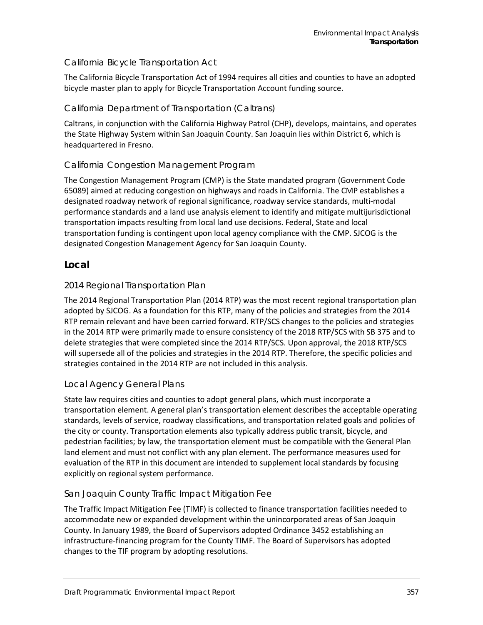#### *California Bicycle Transportation Act*

The California Bicycle Transportation Act of 1994 requires all cities and counties to have an adopted bicycle master plan to apply for Bicycle Transportation Account funding source.

### *California Department of Transportation (Caltrans)*

Caltrans, in conjunction with the California Highway Patrol (CHP), develops, maintains, and operates the State Highway System within San Joaquin County. San Joaquin lies within District 6, which is headquartered in Fresno.

### *California Congestion Management Program*

The Congestion Management Program (CMP) is the State mandated program (Government Code 65089) aimed at reducing congestion on highways and roads in California. The CMP establishes a designated roadway network of regional significance, roadway service standards, multi-modal performance standards and a land use analysis element to identify and mitigate multijurisdictional transportation impacts resulting from local land use decisions. Federal, State and local transportation funding is contingent upon local agency compliance with the CMP. SJCOG is the designated Congestion Management Agency for San Joaquin County.

#### **Local**

#### *2014 Regional Transportation Plan*

The 2014 Regional Transportation Plan (2014 RTP) was the most recent regional transportation plan adopted by SJCOG. As a foundation for this RTP, many of the policies and strategies from the 2014 RTP remain relevant and have been carried forward. RTP/SCS changes to the policies and strategies in the 2014 RTP were primarily made to ensure consistency of the 2018 RTP/SCS with SB 375 and to delete strategies that were completed since the 2014 RTP/SCS. Upon approval, the 2018 RTP/SCS will supersede all of the policies and strategies in the 2014 RTP. Therefore, the specific policies and strategies contained in the 2014 RTP are not included in this analysis.

#### *Local Agency General Plans*

State law requires cities and counties to adopt general plans, which must incorporate a transportation element. A general plan's transportation element describes the acceptable operating standards, levels of service, roadway classifications, and transportation related goals and policies of the city or county. Transportation elements also typically address public transit, bicycle, and pedestrian facilities; by law, the transportation element must be compatible with the General Plan land element and must not conflict with any plan element. The performance measures used for evaluation of the RTP in this document are intended to supplement local standards by focusing explicitly on regional system performance.

#### *San Joaquin County Traffic Impact Mitigation Fee*

The Traffic Impact Mitigation Fee (TIMF) is collected to finance transportation facilities needed to accommodate new or expanded development within the unincorporated areas of San Joaquin County. In January 1989, the Board of Supervisors adopted Ordinance 3452 establishing an infrastructure-financing program for the County TIMF. The Board of Supervisors has adopted changes to the TIF program by adopting resolutions.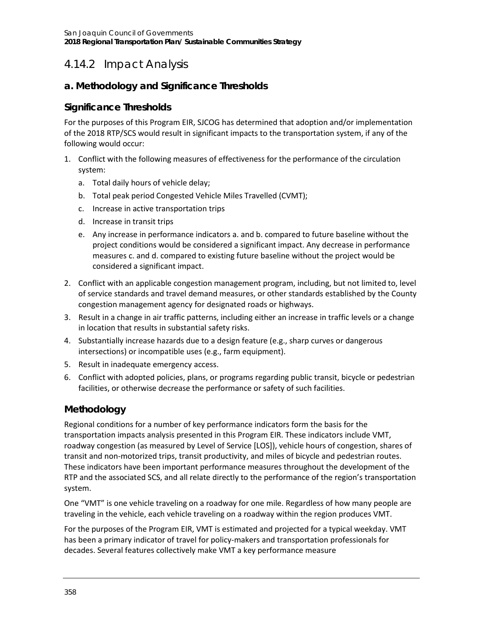# 4.14.2 Impact Analysis

### **a. Methodology and Significance Thresholds**

### **Significance Thresholds**

For the purposes of this Program EIR, SJCOG has determined that adoption and/or implementation of the 2018 RTP/SCS would result in significant impacts to the transportation system, if any of the following would occur:

- 1. Conflict with the following measures of effectiveness for the performance of the circulation system:
	- a. Total daily hours of vehicle delay;
	- b. Total peak period Congested Vehicle Miles Travelled (CVMT);
	- c. Increase in active transportation trips
	- d. Increase in transit trips
	- e. Any increase in performance indicators a. and b. compared to future baseline without the project conditions would be considered a significant impact. Any decrease in performance measures c. and d. compared to existing future baseline without the project would be considered a significant impact.
- 2. Conflict with an applicable congestion management program, including, but not limited to, level of service standards and travel demand measures, or other standards established by the County congestion management agency for designated roads or highways.
- 3. Result in a change in air traffic patterns, including either an increase in traffic levels or a change in location that results in substantial safety risks.
- 4. Substantially increase hazards due to a design feature (e.g., sharp curves or dangerous intersections) or incompatible uses (e.g., farm equipment).
- 5. Result in inadequate emergency access.
- 6. Conflict with adopted policies, plans, or programs regarding public transit, bicycle or pedestrian facilities, or otherwise decrease the performance or safety of such facilities.

### **Methodology**

Regional conditions for a number of key performance indicators form the basis for the transportation impacts analysis presented in this Program EIR. These indicators include VMT, roadway congestion (as measured by Level of Service [LOS]), vehicle hours of congestion, shares of transit and non-motorized trips, transit productivity, and miles of bicycle and pedestrian routes. These indicators have been important performance measures throughout the development of the RTP and the associated SCS, and all relate directly to the performance of the region's transportation system.

One "VMT" is one vehicle traveling on a roadway for one mile. Regardless of how many people are traveling in the vehicle, each vehicle traveling on a roadway within the region produces VMT.

For the purposes of the Program EIR, VMT is estimated and projected for a typical weekday. VMT has been a primary indicator of travel for policy-makers and transportation professionals for decades. Several features collectively make VMT a key performance measure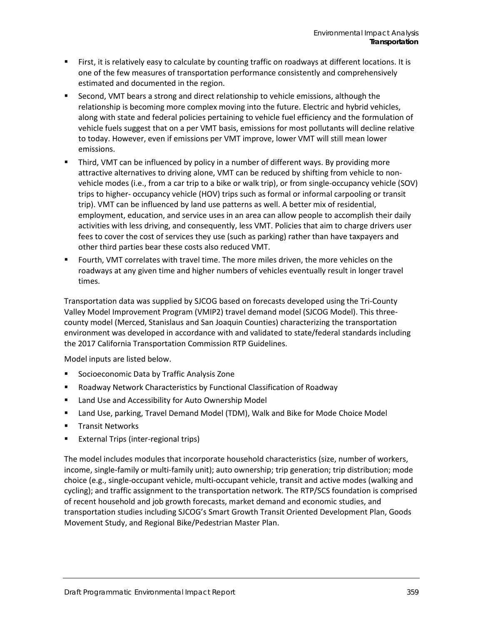- First, it is relatively easy to calculate by counting traffic on roadways at different locations. It is one of the few measures of transportation performance consistently and comprehensively estimated and documented in the region.
- **Second, VMT bears a strong and direct relationship to vehicle emissions, although the** relationship is becoming more complex moving into the future. Electric and hybrid vehicles, along with state and federal policies pertaining to vehicle fuel efficiency and the formulation of vehicle fuels suggest that on a per VMT basis, emissions for most pollutants will decline relative to today. However, even if emissions per VMT improve, lower VMT will still mean lower emissions.
- Third, VMT can be influenced by policy in a number of different ways. By providing more attractive alternatives to driving alone, VMT can be reduced by shifting from vehicle to nonvehicle modes (i.e., from a car trip to a bike or walk trip), or from single-occupancy vehicle (SOV) trips to higher- occupancy vehicle (HOV) trips such as formal or informal carpooling or transit trip). VMT can be influenced by land use patterns as well. A better mix of residential, employment, education, and service uses in an area can allow people to accomplish their daily activities with less driving, and consequently, less VMT. Policies that aim to charge drivers user fees to cover the cost of services they use (such as parking) rather than have taxpayers and other third parties bear these costs also reduced VMT.
- Fourth, VMT correlates with travel time. The more miles driven, the more vehicles on the roadways at any given time and higher numbers of vehicles eventually result in longer travel times.

Transportation data was supplied by SJCOG based on forecasts developed using the Tri-County Valley Model Improvement Program (VMIP2) travel demand model (SJCOG Model). This threecounty model (Merced, Stanislaus and San Joaquin Counties) characterizing the transportation environment was developed in accordance with and validated to state/federal standards including the 2017 California Transportation Commission RTP Guidelines.

Model inputs are listed below.

- **Socioeconomic Data by Traffic Analysis Zone**
- Roadway Network Characteristics by Functional Classification of Roadway
- Land Use and Accessibility for Auto Ownership Model
- Land Use, parking, Travel Demand Model (TDM), Walk and Bike for Mode Choice Model
- **Transit Networks**
- **External Trips (inter-regional trips)**

The model includes modules that incorporate household characteristics (size, number of workers, income, single-family or multi-family unit); auto ownership; trip generation; trip distribution; mode choice (e.g., single-occupant vehicle, multi-occupant vehicle, transit and active modes (walking and cycling); and traffic assignment to the transportation network. The RTP/SCS foundation is comprised of recent household and job growth forecasts, market demand and economic studies, and transportation studies including SJCOG's Smart Growth Transit Oriented Development Plan, Goods Movement Study, and Regional Bike/Pedestrian Master Plan.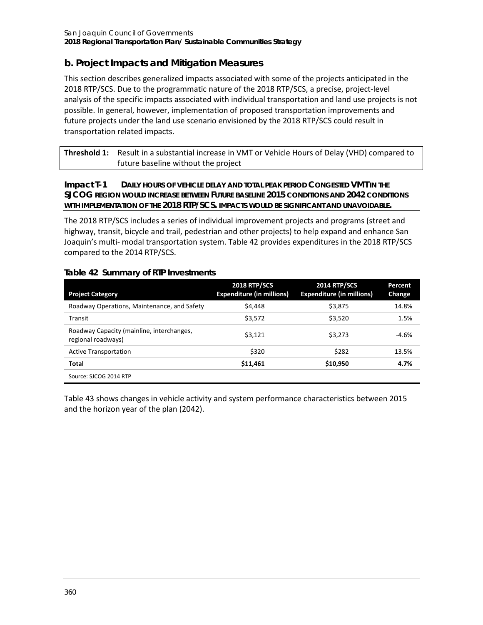### **b. Project Impacts and Mitigation Measures**

This section describes generalized impacts associated with some of the projects anticipated in the 2018 RTP/SCS. Due to the programmatic nature of the 2018 RTP/SCS, a precise, project-level analysis of the specific impacts associated with individual transportation and land use projects is not possible. In general, however, implementation of proposed transportation improvements and future projects under the land use scenario envisioned by the 2018 RTP/SCS could result in transportation related impacts.

| <b>Threshold 1:</b> Result in a substantial increase in VMT or Vehicle Hours of Delay (VHD) compared to |
|---------------------------------------------------------------------------------------------------------|
| future baseline without the project                                                                     |

#### **Impact T-1 DAILY HOURS OF VEHICLE DELAY AND TOTAL PEAK PERIOD CONGESTED VMT IN THE SJCOG REGION WOULD INCREASE BETWEEN FUTURE BASELINE 2015 CONDITIONS AND 2042 CONDITIONS WITH IMPLEMENTATION OF THE 2018 RTP/SCS. IMPACTS WOULD BE SIGNIFICANT AND UNAVOIDABLE.**

The 2018 RTP/SCS includes a series of individual improvement projects and programs (street and highway, transit, bicycle and trail, pedestrian and other projects) to help expand and enhance San Joaquin's multi- modal transportation system[. Table 42](#page-13-0) provides expenditures in the 2018 RTP/SCS compared to the 2014 RTP/SCS.

#### <span id="page-13-0"></span>**Table 42 Summary of RTP Investments**

| <b>Project Category</b>                                         | <b>2018 RTP/SCS</b><br><b>Expenditure (in millions)</b> | <b>2014 RTP/SCS</b><br><b>Expenditure (in millions)</b> | Percent<br>Change |
|-----------------------------------------------------------------|---------------------------------------------------------|---------------------------------------------------------|-------------------|
| Roadway Operations, Maintenance, and Safety                     | \$4,448                                                 | \$3,875                                                 | 14.8%             |
| Transit                                                         | \$3,572                                                 | \$3,520                                                 | 1.5%              |
| Roadway Capacity (mainline, interchanges,<br>regional roadways) | \$3.121                                                 | \$3.273                                                 | $-4.6%$           |
| <b>Active Transportation</b>                                    | \$320                                                   | \$282                                                   | 13.5%             |
| Total                                                           | \$11,461                                                | \$10,950                                                | 4.7%              |
| Source: SJCOG 2014 RTP                                          |                                                         |                                                         |                   |

[Table 43](#page-14-0) shows changes in vehicle activity and system performance characteristics between 2015 and the horizon year of the plan (2042).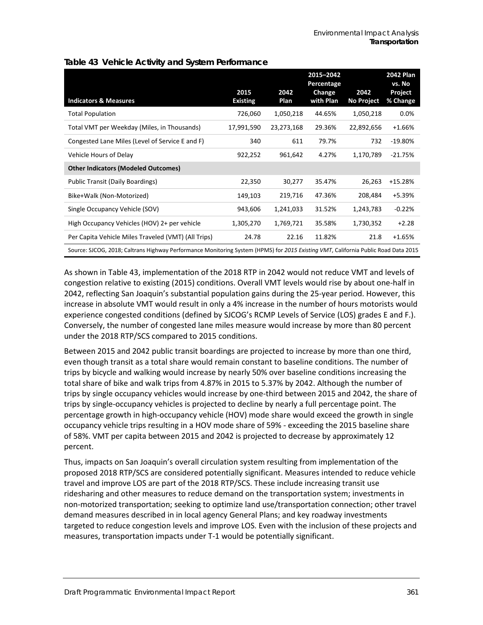|                                                                                                                                    |                         |              | 2015-2042<br>Percentage |                           | <b>2042 Plan</b><br>vs. No |
|------------------------------------------------------------------------------------------------------------------------------------|-------------------------|--------------|-------------------------|---------------------------|----------------------------|
| <b>Indicators &amp; Measures</b>                                                                                                   | 2015<br><b>Existing</b> | 2042<br>Plan | Change<br>with Plan     | 2042<br><b>No Project</b> | Project<br>% Change        |
| <b>Total Population</b>                                                                                                            | 726,060                 | 1,050,218    | 44.65%                  | 1,050,218                 | 0.0%                       |
| Total VMT per Weekday (Miles, in Thousands)                                                                                        | 17,991,590              | 23,273,168   | 29.36%                  | 22,892,656                | $+1.66%$                   |
| Congested Lane Miles (Level of Service E and F)                                                                                    | 340                     | 611          | 79.7%                   | 732                       | $-19.80%$                  |
| Vehicle Hours of Delay                                                                                                             | 922,252                 | 961,642      | 4.27%                   | 1,170,789                 | $-21.75%$                  |
| <b>Other Indicators (Modeled Outcomes)</b>                                                                                         |                         |              |                         |                           |                            |
| Public Transit (Daily Boardings)                                                                                                   | 22,350                  | 30,277       | 35.47%                  | 26,263                    | $+15.28%$                  |
| Bike+Walk (Non-Motorized)                                                                                                          | 149,103                 | 219,716      | 47.36%                  | 208,484                   | +5.39%                     |
| Single Occupancy Vehicle (SOV)                                                                                                     | 943,606                 | 1,241,033    | 31.52%                  | 1,243,783                 | $-0.22%$                   |
| High Occupancy Vehicles (HOV) 2+ per vehicle                                                                                       | 1,305,270               | 1,769,721    | 35.58%                  | 1,730,352                 | $+2.28$                    |
| Per Capita Vehicle Miles Traveled (VMT) (All Trips)                                                                                | 24.78                   | 22.16        | 11.82%                  | 21.8                      | $+1.65%$                   |
| Source: SJCOG, 2018; Caltrans Highway Performance Monitoring System (HPMS) for 2015 Existing VMT, California Public Road Data 2015 |                         |              |                         |                           |                            |

#### <span id="page-14-0"></span>**Table 43 Vehicle Activity and System Performance**

As shown in [Table 43,](#page-14-0) implementation of the 2018 RTP in 2042 would not reduce VMT and levels of congestion relative to existing (2015) conditions. Overall VMT levels would rise by about one-half in 2042, reflecting San Joaquin's substantial population gains during the 25-year period. However, this increase in absolute VMT would result in only a 4% increase in the number of hours motorists would experience congested conditions (defined by SJCOG's RCMP Levels of Service (LOS) grades E and F.). Conversely, the number of congested lane miles measure would increase by more than 80 percent under the 2018 RTP/SCS compared to 2015 conditions.

Between 2015 and 2042 public transit boardings are projected to increase by more than one third, even though transit as a total share would remain constant to baseline conditions. The number of trips by bicycle and walking would increase by nearly 50% over baseline conditions increasing the total share of bike and walk trips from 4.87% in 2015 to 5.37% by 2042. Although the number of trips by single occupancy vehicles would increase by one-third between 2015 and 2042, the share of trips by single-occupancy vehicles is projected to decline by nearly a full percentage point. The percentage growth in high-occupancy vehicle (HOV) mode share would exceed the growth in single occupancy vehicle trips resulting in a HOV mode share of 59% - exceeding the 2015 baseline share of 58%. VMT per capita between 2015 and 2042 is projected to decrease by approximately 12 percent.

Thus, impacts on San Joaquin's overall circulation system resulting from implementation of the proposed 2018 RTP/SCS are considered potentially significant. Measures intended to reduce vehicle travel and improve LOS are part of the 2018 RTP/SCS. These include increasing transit use ridesharing and other measures to reduce demand on the transportation system; investments in non-motorized transportation; seeking to optimize land use/transportation connection; other travel demand measures described in in local agency General Plans; and key roadway investments targeted to reduce congestion levels and improve LOS. Even with the inclusion of these projects and measures, transportation impacts under T-1 would be potentially significant.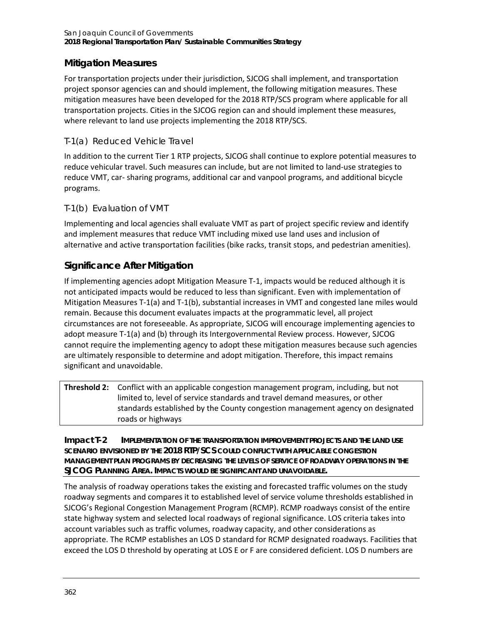### **Mitigation Measures**

For transportation projects under their jurisdiction, SJCOG shall implement, and transportation project sponsor agencies can and should implement, the following mitigation measures. These mitigation measures have been developed for the 2018 RTP/SCS program where applicable for all transportation projects. Cities in the SJCOG region can and should implement these measures, where relevant to land use projects implementing the 2018 RTP/SCS.

### *T-1(a) Reduced Vehicle Travel*

In addition to the current Tier 1 RTP projects, SJCOG shall continue to explore potential measures to reduce vehicular travel. Such measures can include, but are not limited to land-use strategies to reduce VMT, car- sharing programs, additional car and vanpool programs, and additional bicycle programs.

### *T-1(b) Evaluation of VMT*

Implementing and local agencies shall evaluate VMT as part of project specific review and identify and implement measures that reduce VMT including mixed use land uses and inclusion of alternative and active transportation facilities (bike racks, transit stops, and pedestrian amenities).

### **Significance After Mitigation**

If implementing agencies adopt Mitigation Measure T-1, impacts would be reduced although it is not anticipated impacts would be reduced to less than significant. Even with implementation of Mitigation Measures T-1(a) and T-1(b), substantial increases in VMT and congested lane miles would remain. Because this document evaluates impacts at the programmatic level, all project circumstances are not foreseeable. As appropriate, SJCOG will encourage implementing agencies to adopt measure T-1(a) and (b) through its Intergovernmental Review process. However, SJCOG cannot require the implementing agency to adopt these mitigation measures because such agencies are ultimately responsible to determine and adopt mitigation. Therefore, this impact remains significant and unavoidable.

| <b>Threshold 2:</b> Conflict with an applicable congestion management program, including, but not |
|---------------------------------------------------------------------------------------------------|
| limited to, level of service standards and travel demand measures, or other                       |
| standards established by the County congestion management agency on designated                    |
| roads or highways                                                                                 |

**Impact T-2 IMPLEMENTATION OF THE TRANSPORTATION IMPROVEMENT PROJECTS AND THE LAND USE SCENARIO ENVISIONED BY THE 2018 RTP/SCS COULD CONFLICT WITH APPLICABLE CONGESTION MANAGEMENT PLAN PROGRAMS BY DECREASING THE LEVELS OF SERVICE OF ROADWAY OPERATIONS IN THE SJCOG PLANNING AREA. IMPACTS WOULD BE SIGNIFICANT AND UNAVOIDABLE***.*

The analysis of roadway operations takes the existing and forecasted traffic volumes on the study roadway segments and compares it to established level of service volume thresholds established in SJCOG's Regional Congestion Management Program (RCMP). RCMP roadways consist of the entire state highway system and selected local roadways of regional significance. LOS criteria takes into account variables such as traffic volumes, roadway capacity, and other considerations as appropriate. The RCMP establishes an LOS D standard for RCMP designated roadways. Facilities that exceed the LOS D threshold by operating at LOS E or F are considered deficient. LOS D numbers are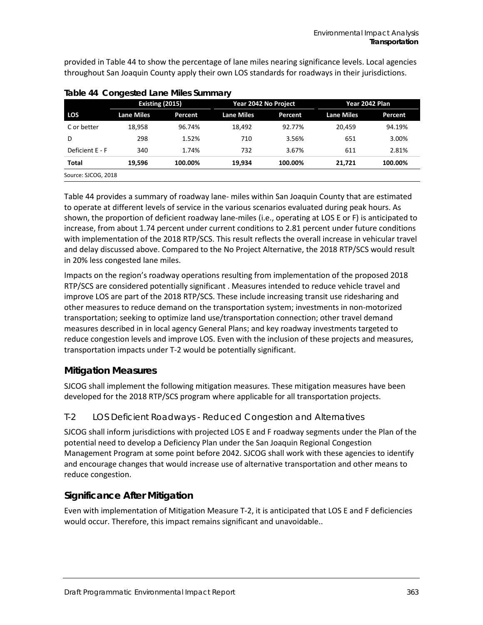provided i[n Table 44](#page-16-0) to show the percentage of lane miles nearing significance levels. Local agencies throughout San Joaquin County apply their own LOS standards for roadways in their jurisdictions.

|                 | Existing (2015)   |         | Year 2042 No Project |                | Year 2042 Plan    |                |
|-----------------|-------------------|---------|----------------------|----------------|-------------------|----------------|
| <b>LOS</b>      | <b>Lane Miles</b> | Percent | <b>Lane Miles</b>    | <b>Percent</b> | <b>Lane Miles</b> | <b>Percent</b> |
| C or better     | 18,958            | 96.74%  | 18.492               | 92.77%         | 20.459            | 94.19%         |
| D               | 298               | 1.52%   | 710                  | 3.56%          | 651               | 3.00%          |
| Deficient E - F | 340               | 1.74%   | 732                  | 3.67%          | 611               | 2.81%          |
| Total           | 19,596            | 100.00% | 19.934               | 100.00%        | 21,721            | 100.00%        |

<span id="page-16-0"></span>**Table 44 Congested Lane Miles Summary**

[Table 44](#page-16-0) provides a summary of roadway lane- miles within San Joaquin County that are estimated to operate at different levels of service in the various scenarios evaluated during peak hours. As shown, the proportion of deficient roadway lane-miles (i.e., operating at LOS E or F) is anticipated to increase, from about 1.74 percent under current conditions to 2.81 percent under future conditions with implementation of the 2018 RTP/SCS. This result reflects the overall increase in vehicular travel and delay discussed above. Compared to the No Project Alternative, the 2018 RTP/SCS would result in 20% less congested lane miles.

Impacts on the region's roadway operations resulting from implementation of the proposed 2018 RTP/SCS are considered potentially significant . Measures intended to reduce vehicle travel and improve LOS are part of the 2018 RTP/SCS. These include increasing transit use ridesharing and other measures to reduce demand on the transportation system; investments in non-motorized transportation; seeking to optimize land use/transportation connection; other travel demand measures described in in local agency General Plans; and key roadway investments targeted to reduce congestion levels and improve LOS. Even with the inclusion of these projects and measures, transportation impacts under T-2 would be potentially significant.

### **Mitigation Measures**

SJCOG shall implement the following mitigation measures. These mitigation measures have been developed for the 2018 RTP/SCS program where applicable for all transportation projects.

### *T-2 LOS Deficient Roadways - Reduced Congestion and Alternatives*

SJCOG shall inform jurisdictions with projected LOS E and F roadway segments under the Plan of the potential need to develop a Deficiency Plan under the San Joaquin Regional Congestion Management Program at some point before 2042. SJCOG shall work with these agencies to identify and encourage changes that would increase use of alternative transportation and other means to reduce congestion.

### **Significance After Mitigation**

Even with implementation of Mitigation Measure T-2, it is anticipated that LOS E and F deficiencies would occur. Therefore, this impact remains significant and unavoidable..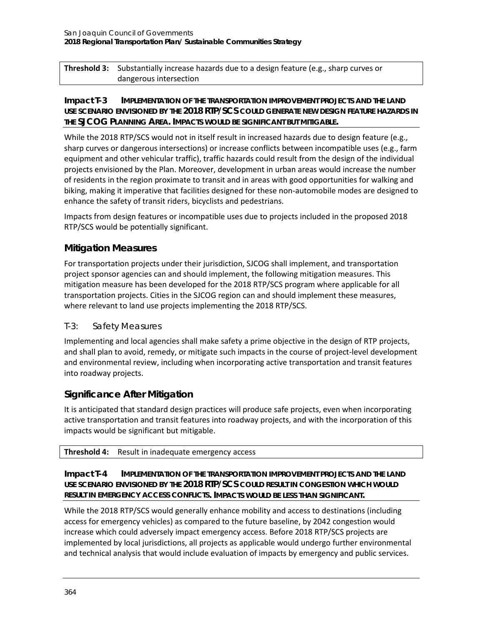**Threshold 3:** Substantially increase hazards due to a design feature (e.g., sharp curves or dangerous intersection

#### **Impact T-3 IMPLEMENTATION OF THE TRANSPORTATION IMPROVEMENT PROJECTS AND THE LAND USE SCENARIO ENVISIONED BY THE 2018 RTP/SCS COULD GENERATE NEW DESIGN FEATURE HAZARDS IN THE SJCOG PLANNING AREA. IMPACTS WOULD BE SIGNIFICANT BUT MITIGABLE***.*

While the 2018 RTP/SCS would not in itself result in increased hazards due to design feature (e.g., sharp curves or dangerous intersections) or increase conflicts between incompatible uses (e.g., farm equipment and other vehicular traffic), traffic hazards could result from the design of the individual projects envisioned by the Plan. Moreover, development in urban areas would increase the number of residents in the region proximate to transit and in areas with good opportunities for walking and biking, making it imperative that facilities designed for these non-automobile modes are designed to enhance the safety of transit riders, bicyclists and pedestrians.

Impacts from design features or incompatible uses due to projects included in the proposed 2018 RTP/SCS would be potentially significant.

### **Mitigation Measures**

For transportation projects under their jurisdiction, SJCOG shall implement, and transportation project sponsor agencies can and should implement, the following mitigation measures. This mitigation measure has been developed for the 2018 RTP/SCS program where applicable for all transportation projects. Cities in the SJCOG region can and should implement these measures, where relevant to land use projects implementing the 2018 RTP/SCS.

### *T-3: Safety Measures*

Implementing and local agencies shall make safety a prime objective in the design of RTP projects, and shall plan to avoid, remedy, or mitigate such impacts in the course of project-level development and environmental review, including when incorporating active transportation and transit features into roadway projects.

### **Significance After Mitigation**

It is anticipated that standard design practices will produce safe projects, even when incorporating active transportation and transit features into roadway projects, and with the incorporation of this impacts would be significant but mitigable.

#### **Threshold 4:** Result in inadequate emergency access

#### **Impact T-4 IMPLEMENTATION OF THE TRANSPORTATION IMPROVEMENT PROJECTS AND THE LAND USE SCENARIO ENVISIONED BY THE 2018 RTP/SCS COULD RESULT IN CONGESTION WHICH WOULD RESULT IN EMERGENCY ACCESS CONFLICTS. IMPACTS WOULD BE LESS THAN SIGNIFICANT***.*

While the 2018 RTP/SCS would generally enhance mobility and access to destinations (including access for emergency vehicles) as compared to the future baseline, by 2042 congestion would increase which could adversely impact emergency access. Before 2018 RTP/SCS projects are implemented by local jurisdictions, all projects as applicable would undergo further environmental and technical analysis that would include evaluation of impacts by emergency and public services.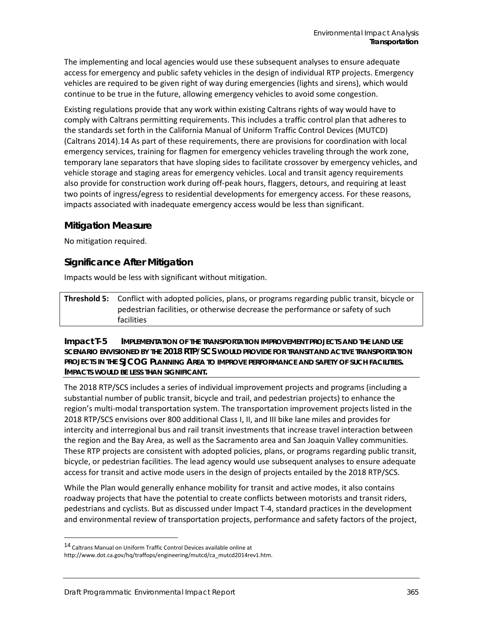The implementing and local agencies would use these subsequent analyses to ensure adequate access for emergency and public safety vehicles in the design of individual RTP projects. Emergency vehicles are required to be given right of way during emergencies (lights and sirens), which would continue to be true in the future, allowing emergency vehicles to avoid some congestion.

Existing regulations provide that any work within existing Caltrans rights of way would have to comply with Caltrans permitting requirements. This includes a traffic control plan that adheres to the standards set forth in the California Manual of Uniform Traffic Control Devices (MUTCD) (Caltrans 2014).[14](#page-18-0) As part of these requirements, there are provisions for coordination with local emergency services, training for flagmen for emergency vehicles traveling through the work zone, temporary lane separators that have sloping sides to facilitate crossover by emergency vehicles, and vehicle storage and staging areas for emergency vehicles. Local and transit agency requirements also provide for construction work during off-peak hours, flaggers, detours, and requiring at least two points of ingress/egress to residential developments for emergency access. For these reasons, impacts associated with inadequate emergency access would be less than significant.

#### **Mitigation Measure**

No mitigation required.

#### **Significance After Mitigation**

Impacts would be less with significant without mitigation.

**Threshold 5:** Conflict with adopted policies, plans, or programs regarding public transit, bicycle or pedestrian facilities, or otherwise decrease the performance or safety of such facilities

**Impact T-5 IMPLEMENTATION OF THE TRANSPORTATION IMPROVEMENT PROJECTS AND THE LAND USE SCENARIO ENVISIONED BY THE 2018 RTP/SCS WOULD PROVIDE FOR TRANSIT AND ACTIVE TRANSPORTATION PROJECTS IN THE SJCOG PLANNING AREA TO IMPROVE PERFORMANCE AND SAFETY OF SUCH FACILITIES. IMPACTS WOULD BE LESS THAN SIGNIFICANT***.*

The 2018 RTP/SCS includes a series of individual improvement projects and programs (including a substantial number of public transit, bicycle and trail, and pedestrian projects) to enhance the region's multi-modal transportation system. The transportation improvement projects listed in the 2018 RTP/SCS envisions over 800 additional Class I, II, and III bike lane miles and provides for intercity and interregional bus and rail transit investments that increase travel interaction between the region and the Bay Area, as well as the Sacramento area and San Joaquin Valley communities. These RTP projects are consistent with adopted policies, plans, or programs regarding public transit, bicycle, or pedestrian facilities. The lead agency would use subsequent analyses to ensure adequate access for transit and active mode users in the design of projects entailed by the 2018 RTP/SCS.

While the Plan would generally enhance mobility for transit and active modes, it also contains roadway projects that have the potential to create conflicts between motorists and transit riders, pedestrians and cyclists. But as discussed under Impact T-4, standard practices in the development and environmental review of transportation projects, performance and safety factors of the project,

-

<span id="page-18-0"></span><sup>14</sup> Caltrans Manual on Uniform Traffic Control Devices available online at

http://www.dot.ca.gov/hq/traffops/engineering/mutcd/ca\_mutcd2014rev1.htm.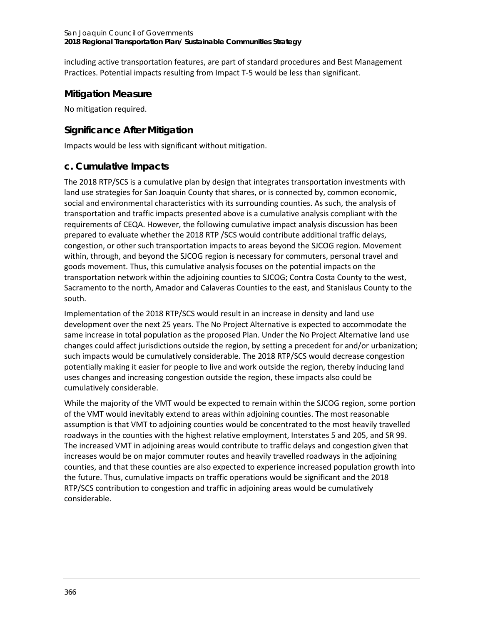including active transportation features, are part of standard procedures and Best Management Practices. Potential impacts resulting from Impact T-5 would be less than significant.

### **Mitigation Measure**

No mitigation required.

### **Significance After Mitigation**

Impacts would be less with significant without mitigation.

### **c. Cumulative Impacts**

The 2018 RTP/SCS is a cumulative plan by design that integrates transportation investments with land use strategies for San Joaquin County that shares, or is connected by, common economic, social and environmental characteristics with its surrounding counties. As such, the analysis of transportation and traffic impacts presented above is a cumulative analysis compliant with the requirements of CEQA. However, the following cumulative impact analysis discussion has been prepared to evaluate whether the 2018 RTP /SCS would contribute additional traffic delays, congestion, or other such transportation impacts to areas beyond the SJCOG region. Movement within, through, and beyond the SJCOG region is necessary for commuters, personal travel and goods movement. Thus, this cumulative analysis focuses on the potential impacts on the transportation network within the adjoining counties to SJCOG; Contra Costa County to the west, Sacramento to the north, Amador and Calaveras Counties to the east, and Stanislaus County to the south.

Implementation of the 2018 RTP/SCS would result in an increase in density and land use development over the next 25 years. The No Project Alternative is expected to accommodate the same increase in total population as the proposed Plan. Under the No Project Alternative land use changes could affect jurisdictions outside the region, by setting a precedent for and/or urbanization; such impacts would be cumulatively considerable. The 2018 RTP/SCS would decrease congestion potentially making it easier for people to live and work outside the region, thereby inducing land uses changes and increasing congestion outside the region, these impacts also could be cumulatively considerable.

While the majority of the VMT would be expected to remain within the SJCOG region, some portion of the VMT would inevitably extend to areas within adjoining counties. The most reasonable assumption is that VMT to adjoining counties would be concentrated to the most heavily travelled roadways in the counties with the highest relative employment, Interstates 5 and 205, and SR 99. The increased VMT in adjoining areas would contribute to traffic delays and congestion given that increases would be on major commuter routes and heavily travelled roadways in the adjoining counties, and that these counties are also expected to experience increased population growth into the future. Thus, cumulative impacts on traffic operations would be significant and the 2018 RTP/SCS contribution to congestion and traffic in adjoining areas would be cumulatively considerable.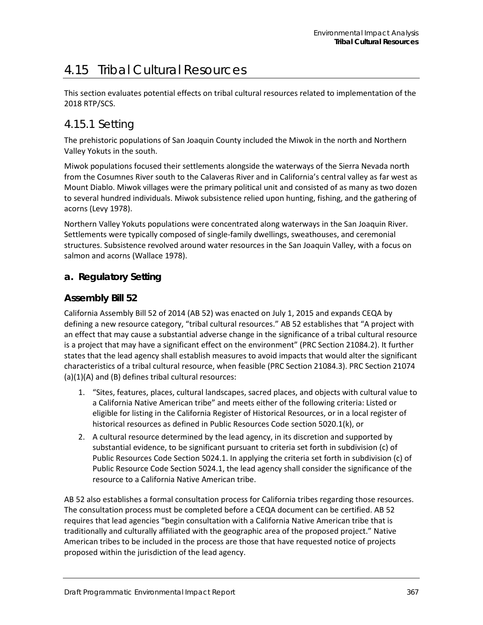# 4.15 Tribal Cultural Resources

This section evaluates potential effects on tribal cultural resources related to implementation of the 2018 RTP/SCS.

## 4.15.1 Setting

The prehistoric populations of San Joaquin County included the Miwok in the north and Northern Valley Yokuts in the south.

Miwok populations focused their settlements alongside the waterways of the Sierra Nevada north from the Cosumnes River south to the Calaveras River and in California's central valley as far west as Mount Diablo. Miwok villages were the primary political unit and consisted of as many as two dozen to several hundred individuals. Miwok subsistence relied upon hunting, fishing, and the gathering of acorns (Levy 1978).

Northern Valley Yokuts populations were concentrated along waterways in the San Joaquin River. Settlements were typically composed of single-family dwellings, sweathouses, and ceremonial structures. Subsistence revolved around water resources in the San Joaquin Valley, with a focus on salmon and acorns (Wallace 1978).

### **a. Regulatory Setting**

### **Assembly Bill 52**

California Assembly Bill 52 of 2014 (AB 52) was enacted on July 1, 2015 and expands CEQA by defining a new resource category, "tribal cultural resources." AB 52 establishes that "A project with an effect that may cause a substantial adverse change in the significance of a tribal cultural resource is a project that may have a significant effect on the environment" (PRC Section 21084.2). It further states that the lead agency shall establish measures to avoid impacts that would alter the significant characteristics of a tribal cultural resource, when feasible (PRC Section 21084.3). PRC Section 21074 (a)(1)(A) and (B) defines tribal cultural resources:

- 1. "Sites, features, places, cultural landscapes, sacred places, and objects with cultural value to a California Native American tribe" and meets either of the following criteria: Listed or eligible for listing in the California Register of Historical Resources, or in a local register of historical resources as defined in Public Resources Code section 5020.1(k), or
- 2. A cultural resource determined by the lead agency, in its discretion and supported by substantial evidence, to be significant pursuant to criteria set forth in subdivision (c) of Public Resources Code Section 5024.1. In applying the criteria set forth in subdivision (c) of Public Resource Code Section 5024.1, the lead agency shall consider the significance of the resource to a California Native American tribe.

AB 52 also establishes a formal consultation process for California tribes regarding those resources. The consultation process must be completed before a CEQA document can be certified. AB 52 requires that lead agencies "begin consultation with a California Native American tribe that is traditionally and culturally affiliated with the geographic area of the proposed project." Native American tribes to be included in the process are those that have requested notice of projects proposed within the jurisdiction of the lead agency.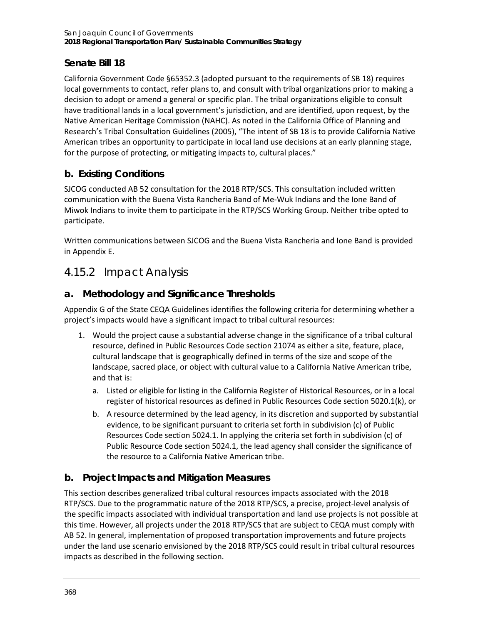### **Senate Bill 18**

California Government Code §65352.3 (adopted pursuant to the requirements of SB 18) requires local governments to contact, refer plans to, and consult with tribal organizations prior to making a decision to adopt or amend a general or specific plan. The tribal organizations eligible to consult have traditional lands in a local government's jurisdiction, and are identified, upon request, by the Native American Heritage Commission (NAHC). As noted in the California Office of Planning and Research's Tribal Consultation Guidelines (2005), "The intent of SB 18 is to provide California Native American tribes an opportunity to participate in local land use decisions at an early planning stage, for the purpose of protecting, or mitigating impacts to, cultural places."

## **b. Existing Conditions**

SJCOG conducted AB 52 consultation for the 2018 RTP/SCS. This consultation included written communication with the Buena Vista Rancheria Band of Me-Wuk Indians and the Ione Band of Miwok Indians to invite them to participate in the RTP/SCS Working Group. Neither tribe opted to participate.

Written communications between SJCOG and the Buena Vista Rancheria and Ione Band is provided in Appendix E.

# 4.15.2 Impact Analysis

### **a. Methodology and Significance Thresholds**

Appendix G of the State CEQA Guidelines identifies the following criteria for determining whether a project's impacts would have a significant impact to tribal cultural resources:

- 1. Would the project cause a substantial adverse change in the significance of a tribal cultural resource, defined in Public Resources Code section 21074 as either a site, feature, place, cultural landscape that is geographically defined in terms of the size and scope of the landscape, sacred place, or object with cultural value to a California Native American tribe, and that is:
	- a. Listed or eligible for listing in the California Register of Historical Resources, or in a local register of historical resources as defined in Public Resources Code section 5020.1(k), or
	- b. A resource determined by the lead agency, in its discretion and supported by substantial evidence, to be significant pursuant to criteria set forth in subdivision (c) of Public Resources Code section 5024.1. In applying the criteria set forth in subdivision (c) of Public Resource Code section 5024.1, the lead agency shall consider the significance of the resource to a California Native American tribe.

### **b. Project Impacts and Mitigation Measures**

This section describes generalized tribal cultural resources impacts associated with the 2018 RTP/SCS. Due to the programmatic nature of the 2018 RTP/SCS, a precise, project-level analysis of the specific impacts associated with individual transportation and land use projects is not possible at this time. However, all projects under the 2018 RTP/SCS that are subject to CEQA must comply with AB 52. In general, implementation of proposed transportation improvements and future projects under the land use scenario envisioned by the 2018 RTP/SCS could result in tribal cultural resources impacts as described in the following section.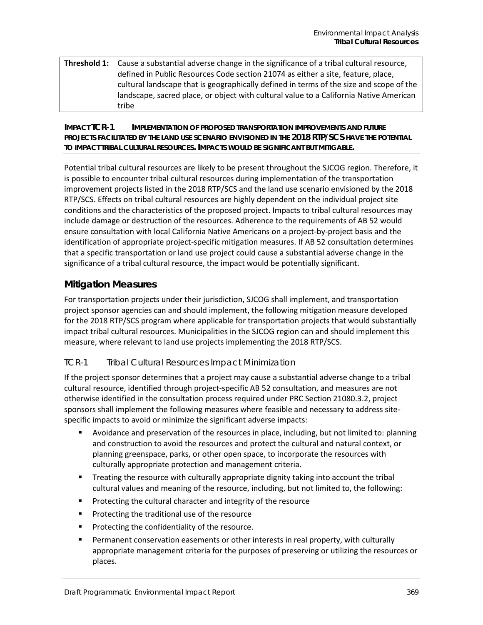#### **Threshold 1:** Cause a substantial adverse change in the significance of a tribal cultural resource, defined in Public Resources Code section 21074 as either a site, feature, place, cultural landscape that is geographically defined in terms of the size and scope of the landscape, sacred place, or object with cultural value to a California Native American tribe

#### **IMPACT TCR-1 IMPLEMENTATION OF PROPOSED TRANSPORTATION IMPROVEMENTS AND FUTURE PROJECTS FACILITATED BY THE LAND USE SCENARIO ENVISIONED IN THE 2018 RTP/SCS HAVE THE POTENTIAL TO IMPACT TRIBAL CULTURAL RESOURCES. IMPACTS WOULD BE SIGNIFICANT BUT MITIGABLE.**

Potential tribal cultural resources are likely to be present throughout the SJCOG region. Therefore, it is possible to encounter tribal cultural resources during implementation of the transportation improvement projects listed in the 2018 RTP/SCS and the land use scenario envisioned by the 2018 RTP/SCS. Effects on tribal cultural resources are highly dependent on the individual project site conditions and the characteristics of the proposed project. Impacts to tribal cultural resources may include damage or destruction of the resources. Adherence to the requirements of AB 52 would ensure consultation with local California Native Americans on a project-by-project basis and the identification of appropriate project-specific mitigation measures. If AB 52 consultation determines that a specific transportation or land use project could cause a substantial adverse change in the significance of a tribal cultural resource, the impact would be potentially significant.

### **Mitigation Measures**

For transportation projects under their jurisdiction, SJCOG shall implement, and transportation project sponsor agencies can and should implement, the following mitigation measure developed for the 2018 RTP/SCS program where applicable for transportation projects that would substantially impact tribal cultural resources. Municipalities in the SJCOG region can and should implement this measure, where relevant to land use projects implementing the 2018 RTP/SCS.

### *TCR-1 Tribal Cultural Resources Impact Minimization*

If the project sponsor determines that a project may cause a substantial adverse change to a tribal cultural resource, identified through project-specific AB 52 consultation, and measures are not otherwise identified in the consultation process required under PRC Section 21080.3.2, project sponsors shall implement the following measures where feasible and necessary to address sitespecific impacts to avoid or minimize the significant adverse impacts:

- Avoidance and preservation of the resources in place, including, but not limited to: planning and construction to avoid the resources and protect the cultural and natural context, or planning greenspace, parks, or other open space, to incorporate the resources with culturally appropriate protection and management criteria.
- **Treating the resource with culturally appropriate dignity taking into account the tribal** cultural values and meaning of the resource, including, but not limited to, the following:
- Protecting the cultural character and integrity of the resource
- **Protecting the traditional use of the resource**
- **Protecting the confidentiality of the resource.**
- Permanent conservation easements or other interests in real property, with culturally appropriate management criteria for the purposes of preserving or utilizing the resources or places.